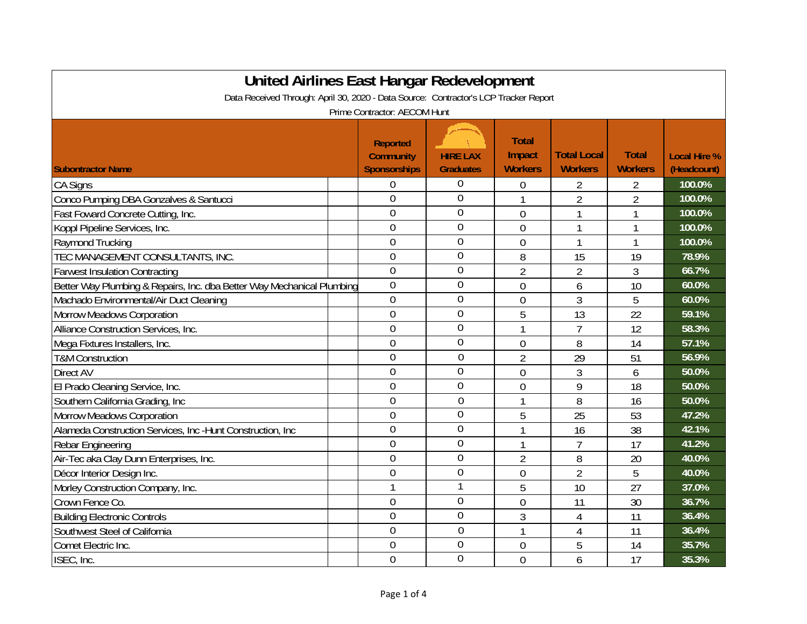| United Airlines East Hangar Redevelopment                                            |                                                            |                                     |                                          |                                      |                                |                                    |  |
|--------------------------------------------------------------------------------------|------------------------------------------------------------|-------------------------------------|------------------------------------------|--------------------------------------|--------------------------------|------------------------------------|--|
| Data Received Through: April 30, 2020 - Data Source: Contractor's LCP Tracker Report |                                                            |                                     |                                          |                                      |                                |                                    |  |
| Prime Contractor: AECOM Hunt                                                         |                                                            |                                     |                                          |                                      |                                |                                    |  |
| <b>Subontractor Name</b>                                                             | <b>Reported</b><br><b>Community</b><br><b>Sponsorships</b> | <b>HIRE LAX</b><br><b>Graduates</b> | <b>Total</b><br>Impact<br><b>Workers</b> | <b>Total Local</b><br><b>Workers</b> | <b>Total</b><br><b>Workers</b> | <b>Local Hire %</b><br>(Headcount) |  |
| <b>CA Signs</b>                                                                      | 0                                                          | 0                                   | 0                                        | 2                                    | 2                              | 100.0%                             |  |
| Conco Pumping DBA Gonzalves & Santucci                                               | $\overline{0}$                                             | $\overline{0}$                      |                                          | $\overline{2}$                       | $\overline{2}$                 | 100.0%                             |  |
| Fast Foward Concrete Cutting, Inc.                                                   | $\overline{0}$                                             | 0                                   | $\mathbf 0$                              |                                      | 1                              | 100.0%                             |  |
| Koppl Pipeline Services, Inc.                                                        | 0                                                          | 0                                   | $\overline{0}$                           | 1                                    | 1                              | 100.0%                             |  |
| Raymond Trucking                                                                     | $\overline{0}$                                             | $\overline{0}$                      | $\overline{0}$                           | 1                                    | 1                              | 100.0%                             |  |
| TEC MANAGEMENT CONSULTANTS, INC.                                                     | $\overline{0}$                                             | $\overline{0}$                      | 8                                        | 15                                   | 19                             | 78.9%                              |  |
| <b>Farwest Insulation Contracting</b>                                                | $\overline{0}$                                             | $\mathbf 0$                         | $\overline{2}$                           | 2                                    | 3                              | 66.7%                              |  |
| Better Way Plumbing & Repairs, Inc. dba Better Way Mechanical Plumbing               | $\overline{0}$                                             | $\mathbf 0$                         | $\mathbf 0$                              | 6                                    | 10                             | 60.0%                              |  |
| Machado Environmental/Air Duct Cleaning                                              | $\overline{0}$                                             | $\overline{0}$                      | $\mathbf 0$                              | 3                                    | 5                              | 60.0%                              |  |
| <b>Morrow Meadows Corporation</b>                                                    | $\overline{0}$                                             | $\mathbf 0$                         | 5                                        | 13                                   | 22                             | 59.1%                              |  |
| Alliance Construction Services, Inc.                                                 | $\overline{0}$                                             | $\overline{0}$                      | 1                                        | $\overline{1}$                       | 12                             | 58.3%                              |  |
| Mega Fixtures Installers, Inc.                                                       | $\overline{0}$                                             | $\overline{0}$                      | $\overline{0}$                           | 8                                    | 14                             | 57.1%                              |  |
| <b>T&amp;M Construction</b>                                                          | $\overline{0}$                                             | $\mathbf 0$                         | $\overline{2}$                           | 29                                   | 51                             | 56.9%                              |  |
| <b>Direct AV</b>                                                                     | $\overline{0}$                                             | $\overline{0}$                      | $\overline{0}$                           | 3                                    | 6                              | 50.0%                              |  |
| El Prado Cleaning Service, Inc.                                                      | $\mathbf 0$                                                | $\overline{0}$                      | $\mathbf 0$                              | 9                                    | 18                             | 50.0%                              |  |
| Southern California Grading, Inc.                                                    | $\mathbf 0$                                                | $\overline{0}$                      |                                          | 8                                    | 16                             | 50.0%                              |  |
| <b>Morrow Meadows Corporation</b>                                                    | $\overline{0}$                                             | $\overline{0}$                      | 5                                        | 25                                   | 53                             | 47.2%                              |  |
| Alameda Construction Services, Inc -Hunt Construction, Inc                           | $\mathbf 0$                                                | $\mathbf 0$                         | 1                                        | 16                                   | 38                             | 42.1%                              |  |
| Rebar Engineering                                                                    | $\mathbf 0$                                                | $\mathbf 0$                         | 1                                        | $\overline{7}$                       | 17                             | 41.2%                              |  |
| Air-Tec aka Clay Dunn Enterprises, Inc.                                              | $\overline{0}$                                             | $\overline{0}$                      | $\overline{2}$                           | 8                                    | 20                             | 40.0%                              |  |
| Décor Interior Design Inc.                                                           | $\mathbf 0$                                                | 0                                   | $\mathbf 0$                              | 2                                    | 5                              | 40.0%                              |  |
| Morley Construction Company, Inc.                                                    | $\mathbf{1}$                                               |                                     | 5                                        | 10                                   | 27                             | 37.0%                              |  |
| Crown Fence Co.                                                                      | $\theta$                                                   | $\overline{0}$                      | $\overline{0}$                           | 11                                   | 30                             | 36.7%                              |  |
| <b>Building Electronic Controls</b>                                                  | $\theta$                                                   | $\overline{0}$                      | 3                                        | 4                                    | 11                             | 36.4%                              |  |
| Southwest Steel of California                                                        | $\overline{0}$                                             | $\overline{0}$                      | 1                                        | 4                                    | 11                             | 36.4%                              |  |
| Comet Electric Inc.                                                                  | $\overline{0}$                                             | $\overline{0}$                      | $\boldsymbol{0}$                         | 5                                    | 14                             | 35.7%                              |  |
| ISEC, Inc.                                                                           | $\overline{0}$                                             | 0                                   | $\overline{0}$                           | 6                                    | 17                             | 35.3%                              |  |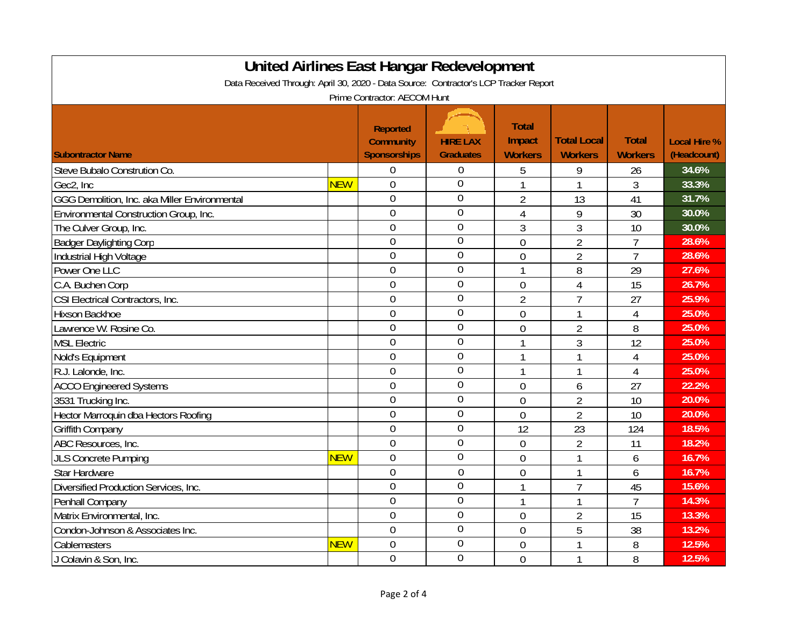| <b>United Airlines East Hangar Redevelopment</b>                                     |            |                     |                  |                |                    |                |                     |  |
|--------------------------------------------------------------------------------------|------------|---------------------|------------------|----------------|--------------------|----------------|---------------------|--|
| Data Received Through: April 30, 2020 - Data Source: Contractor's LCP Tracker Report |            |                     |                  |                |                    |                |                     |  |
| Prime Contractor: AECOM Hunt                                                         |            |                     |                  |                |                    |                |                     |  |
|                                                                                      |            |                     |                  |                |                    |                |                     |  |
|                                                                                      |            | <b>Reported</b>     |                  | <b>Total</b>   |                    |                |                     |  |
|                                                                                      |            | <b>Community</b>    | <b>HIRE LAX</b>  | Impact         | <b>Total Local</b> | <b>Total</b>   | <b>Local Hire %</b> |  |
| <b>Subontractor Name</b>                                                             |            | <b>Sponsorships</b> | <b>Graduates</b> | <b>Workers</b> | <b>Workers</b>     | <b>Workers</b> | (Headcount)         |  |
| Steve Bubalo Constrution Co.                                                         |            | $\overline{0}$      | $\mathbf 0$      | 5              | 9                  | 26             | 34.6%               |  |
| Gec2, Inc                                                                            | <b>NEW</b> | $\overline{0}$      | $\theta$         | $\mathbf{1}$   | 1                  | 3              | 33.3%               |  |
| GGG Demolition, Inc. aka Miller Environmental                                        |            | $\overline{0}$      | $\overline{0}$   | $\overline{2}$ | 13                 | 41             | 31.7%               |  |
| Environmental Construction Group, Inc.                                               |            | $\overline{0}$      | $\overline{0}$   | $\overline{4}$ | 9                  | 30             | 30.0%               |  |
| The Culver Group, Inc.                                                               |            | $\overline{0}$      | $\overline{0}$   | 3              | 3                  | 10             | 30.0%               |  |
| <b>Badger Daylighting Corp</b>                                                       |            | $\overline{0}$      | $\overline{0}$   | $\overline{0}$ | $\overline{2}$     | $\overline{1}$ | 28.6%               |  |
| Industrial High Voltage                                                              |            | $\overline{0}$      | $\overline{0}$   | $\overline{0}$ | $\overline{2}$     | $\overline{1}$ | 28.6%               |  |
| Power One LLC                                                                        |            | $\overline{0}$      | $\overline{0}$   | $\mathbf{1}$   | 8                  | 29             | 27.6%               |  |
| C.A. Buchen Corp                                                                     |            | $\overline{0}$      | $\overline{0}$   | $\overline{0}$ | 4                  | 15             | 26.7%               |  |
| CSI Electrical Contractors, Inc.                                                     |            | $\overline{0}$      | $\Omega$         | $\overline{2}$ | $\overline{1}$     | 27             | 25.9%               |  |
| Hixson Backhoe                                                                       |            | $\overline{0}$      | $\theta$         | $\overline{0}$ | 1                  | $\overline{4}$ | 25.0%               |  |
| Lawrence W. Rosine Co.                                                               |            | $\overline{0}$      | $\theta$         | $\mathbf 0$    | $\overline{2}$     | 8              | 25.0%               |  |
| <b>MSL Electric</b>                                                                  |            | $\overline{0}$      | $\theta$         | $\mathbf{1}$   | 3                  | 12             | 25.0%               |  |
| Nold's Equipment                                                                     |            | $\overline{0}$      | $\overline{0}$   | $\mathbf{1}$   | 1                  | $\overline{4}$ | 25.0%               |  |
| R.J. Lalonde, Inc.                                                                   |            | $\mathbf 0$         | $\mathbf 0$      | $\mathbf{1}$   | 1                  | $\overline{4}$ | 25.0%               |  |
| <b>ACCO Engineered Systems</b>                                                       |            | $\overline{0}$      | $\overline{0}$   | $\overline{0}$ | 6                  | 27             | 22.2%               |  |
| 3531 Trucking Inc.                                                                   |            | $\overline{0}$      | $\overline{0}$   | $\overline{0}$ | $\overline{2}$     | 10             | 20.0%               |  |
| Hector Marroquin dba Hectors Roofing                                                 |            | $\overline{0}$      | $\Omega$         | $\overline{0}$ | 2                  | 10             | 20.0%               |  |
| <b>Griffith Company</b>                                                              |            | $\overline{0}$      | $\Omega$         | 12             | 23                 | 124            | 18.5%               |  |
| ABC Resources, Inc.                                                                  |            | $\overline{0}$      | $\theta$         | $\overline{0}$ | 2                  | 11             | 18.2%               |  |
| <b>JLS Concrete Pumping</b>                                                          | <b>NEW</b> | $\overline{0}$      | $\overline{0}$   | $\overline{0}$ | 1                  | 6              | 16.7%               |  |
| Star Hardware                                                                        |            | $\overline{0}$      | $\mathbf 0$      | $\mathbf 0$    | 1                  | 6              | 16.7%               |  |
| Diversified Production Services, Inc.                                                |            | $\overline{0}$      | $\overline{0}$   | $\mathbf{1}$   | $\overline{7}$     | 45             | 15.6%               |  |
| Penhall Company                                                                      |            | $\overline{0}$      | $\overline{0}$   | $\mathbf{1}$   | $\mathbf{1}$       | $\overline{7}$ | 14.3%               |  |
| Matrix Environmental, Inc.                                                           |            | $\overline{0}$      | $\overline{0}$   | $\overline{0}$ | $\overline{2}$     | 15             | 13.3%               |  |
| Condon-Johnson & Associates Inc.                                                     |            | $\overline{0}$      | $\overline{0}$   | $\overline{0}$ | 5                  | 38             | 13.2%               |  |
| Cablemasters                                                                         | <b>NEW</b> | $\overline{0}$      | $\overline{0}$   | 0              | 1                  | 8              | 12.5%               |  |
| J Colavin & Son, Inc.                                                                |            | $\overline{0}$      | $\overline{0}$   | $\overline{0}$ | 1                  | 8              | 12.5%               |  |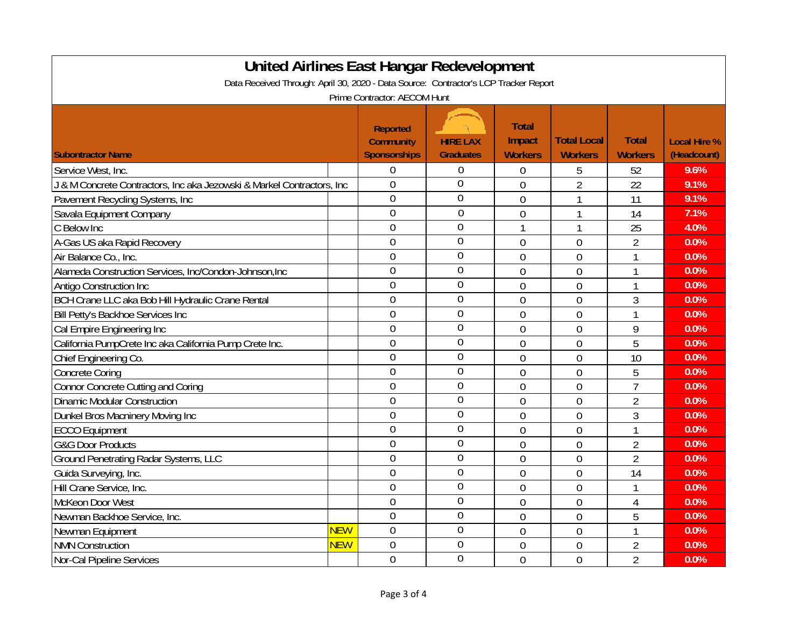| <b>United Airlines East Hangar Redevelopment</b>                                     |            |                     |                  |                |                    |                |                     |  |
|--------------------------------------------------------------------------------------|------------|---------------------|------------------|----------------|--------------------|----------------|---------------------|--|
| Data Received Through: April 30, 2020 - Data Source: Contractor's LCP Tracker Report |            |                     |                  |                |                    |                |                     |  |
| Prime Contractor: AECOM Hunt                                                         |            |                     |                  |                |                    |                |                     |  |
|                                                                                      |            |                     |                  |                |                    |                |                     |  |
|                                                                                      |            | <b>Reported</b>     |                  | <b>Total</b>   |                    |                |                     |  |
|                                                                                      |            | <b>Community</b>    | <b>HIRE LAX</b>  | Impact         | <b>Total Local</b> | <b>Total</b>   | <b>Local Hire %</b> |  |
| <b>Subontractor Name</b>                                                             |            | <b>Sponsorships</b> | <b>Graduates</b> | <b>Workers</b> | <b>Workers</b>     | <b>Workers</b> | (Headcount)         |  |
| Service West, Inc.                                                                   |            | $\overline{0}$      | $\overline{0}$   | 0              | 5                  | 52             | 9.6%                |  |
| J & M Concrete Contractors, Inc aka Jezowski & Markel Contractors, Inc               |            | $\overline{0}$      | $\theta$         | $\overline{0}$ | $\overline{2}$     | 22             | 9.1%                |  |
| Pavement Recycling Systems, Inc                                                      |            | $\overline{0}$      | $\theta$         | $\overline{0}$ | 1                  | 11             | 9.1%                |  |
| Savala Equipment Company                                                             |            | $\overline{0}$      | $\theta$         | $\mathbf 0$    | 1                  | 14             | 7.1%                |  |
| C Below Inc                                                                          |            | $\overline{0}$      | $\mathbf 0$      | $\mathbf{1}$   | 1                  | 25             | 4.0%                |  |
| A-Gas US aka Rapid Recovery                                                          |            | $\overline{0}$      | $\mathbf 0$      | $\overline{0}$ | $\mathbf 0$        | $\overline{2}$ | 0.0%                |  |
| Air Balance Co., Inc.                                                                |            | $\overline{0}$      | $\overline{0}$   | $\overline{0}$ | $\overline{0}$     | 1              | 0.0%                |  |
| Alameda Construction Services, Inc/Condon-Johnson, Inc                               |            | $\overline{0}$      | $\overline{0}$   | $\overline{0}$ | $\overline{0}$     | 1              | 0.0%                |  |
| Antigo Construction Inc                                                              |            | $\overline{0}$      | $\overline{0}$   | $\overline{0}$ | $\overline{0}$     | $\mathbf{1}$   | 0.0%                |  |
| BCH Crane LLC aka Bob Hill Hydraulic Crane Rental                                    |            | $\overline{0}$      | $\overline{0}$   | $\overline{0}$ | $\overline{0}$     | 3              | 0.0%                |  |
| Bill Petty's Backhoe Services Inc                                                    |            | $\overline{0}$      | $\Omega$         | $\overline{0}$ | $\overline{0}$     | $\mathbf{1}$   | 0.0%                |  |
| Cal Empire Engineering Inc                                                           |            | $\overline{0}$      | $\theta$         | $\mathbf 0$    | $\mathbf 0$        | 9              | 0.0%                |  |
| California PumpCrete Inc aka California Pump Crete Inc.                              |            | $\overline{0}$      | $\overline{0}$   | $\overline{0}$ | $\mathbf 0$        | 5              | 0.0%                |  |
| Chief Engineering Co.                                                                |            | $\mathbf 0$         | $\overline{0}$   | $\overline{0}$ | $\mathbf 0$        | 10             | 0.0%                |  |
| <b>Concrete Coring</b>                                                               |            | $\overline{0}$      | $\overline{0}$   | $\overline{0}$ | $\mathbf 0$        | 5              | 0.0%                |  |
| <b>Connor Concrete Cutting and Coring</b>                                            |            | $\overline{0}$      | $\mathbf 0$      | 0              | $\mathbf 0$        | $\overline{1}$ | 0.0%                |  |
| <b>Dinamic Modular Construction</b>                                                  |            | $\overline{0}$      | $\overline{0}$   | 0              | $\mathbf 0$        | $\overline{2}$ | 0.0%                |  |
| Dunkel Bros Macninery Moving Inc                                                     |            | $\overline{0}$      | $\overline{0}$   | $\overline{0}$ | $\overline{0}$     | 3              | 0.0%                |  |
| <b>ECCO Equipment</b>                                                                |            | $\overline{0}$      | $\overline{0}$   | $\overline{0}$ | $\overline{0}$     | 1              | 0.0%                |  |
| <b>G&amp;G Door Products</b>                                                         |            | $\overline{0}$      | $\overline{0}$   | $\overline{0}$ | $\overline{0}$     | $\overline{2}$ | 0.0%                |  |
| Ground Penetrating Radar Systems, LLC                                                |            | $\overline{0}$      | $\theta$         | $\overline{0}$ | $\overline{0}$     | $\overline{2}$ | 0.0%                |  |
| Guida Surveying, Inc.                                                                |            | $\overline{0}$      | $\overline{0}$   | $\mathbf 0$    | $\mathbf 0$        | 14             | 0.0%                |  |
| Hill Crane Service, Inc.                                                             |            | $\overline{0}$      | $\overline{0}$   | $\overline{0}$ | $\mathbf{0}$       | $\mathbf{1}$   | 0.0%                |  |
| McKeon Door West                                                                     |            | $\overline{0}$      | $\overline{0}$   | $\mathbf 0$    | $\mathbf 0$        | $\overline{4}$ | 0.0%                |  |
| Newman Backhoe Service, Inc.                                                         |            | $\overline{0}$      | $\overline{0}$   | $\overline{0}$ | $\mathbf 0$        | 5              | 0.0%                |  |
| Newman Equipment                                                                     | <b>NEW</b> | $\overline{0}$      | $\overline{0}$   | $\overline{0}$ | $\overline{0}$     | $\mathbf{1}$   | 0.0%                |  |
| <b>NMN Construction</b>                                                              | <b>NEW</b> | $\overline{0}$      | $\mathbf 0$      | 0              | $\mathbf 0$        | $\overline{2}$ | 0.0%                |  |
| Nor-Cal Pipeline Services                                                            |            | $\overline{0}$      | $\overline{0}$   | $\overline{0}$ | $\overline{0}$     | $\overline{2}$ | 0.0%                |  |